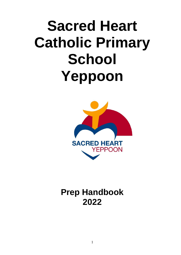# **Sacred Heart Catholic Primary School Yeppoon**



# **Prep Handbook 2022**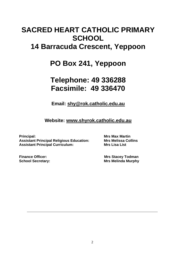# **SACRED HEART CATHOLIC PRIMARY SCHOOL 14 Barracuda Crescent, Yeppoon**

# **PO Box 241, Yeppoon**

# **Telephone: 49 336288 Facsimile: 49 336470**

**Email: [shy@rok.catholic.edu.au](mailto:shy@rok.catholic.edu.au)**

**Website: [www.shyrok.catholic.edu.au](http://www.shyrok.catholic.edu.au/)**

**Principal: Mrs Max Martin Assistant Principal Religious Education: Mrs Melissa Collins Assistant Principal Curriculum: Mrs Lisa List**

**Finance Officer:** Mrs Stacey Todman **School Secretary: Mrs Melinda Murphy**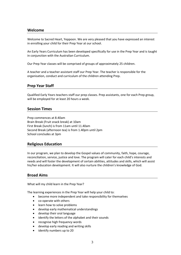#### **Welcome**

Welcome to Sacred Heart, Yeppoon. We are very pleased that you have expressed an interest in enrolling your child for their Prep Year at our school.

An Early Years Curriculum has been developed specifically for use in the Prep Year and is taught in conjunction with the Australian Curriculum.

Our Prep Year classes will be comprised of groups of approximately 25 children.

A teacher and a teacher assistant staff our Prep Year. The teacher is responsible for the organisation, conduct and curriculum of the children attending Prep.

#### **Prep Year Staff**

Qualified Early Years teachers staff our prep classes. Prep assistants, one for each Prep group, will be employed for at least 20 hours a week.

#### **Session Times**

Prep commences at 8.40am Brain Break (Fruit snack break) at 10am First Break (lunch) is from 11am until 11.40am Second Break (afternoon tea) is from 1.40pm until 2pm School concludes at 3pm

#### **Religious Education**

In our program, we plan to develop the Gospel values of community, faith, hope, courage, reconciliation, service, justice and love. The program will cater for each child's interests and needs and will foster the development of certain abilities, attitudes and skills, which will assist his/her education development. It will also nurture the children's knowledge of God.

#### **Broad Aims**

What will my child learn in the Prep Year?

The learning experiences in the Prep Year will help your child to:

- become more independent and take responsibility for themselves
- co-operate with others
- learn how to solve problems
- develop early mathematical understandings
- develop their oral language
- identify the letters of the alphabet and their sounds
- recognise high frequency words
- develop early reading and writing skills
- identify numbers up to 20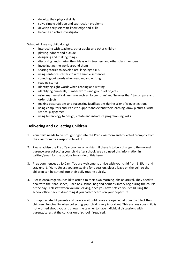- develop their physical skills
- solve simple addition and subtraction problems
- develop early scientific knowledge and skills
- become an active investigator

What will I see my child doing?

- interacting with teachers, other adults and other children
- playing indoors and outside
- designing and making things
- discussing and sharing their ideas with teachers and other class members
- investigating the world around them
- sharing stories to develop oral language skills
- using sentence starters to write simple sentences
- sounding out words when reading and writing
- reading stories
- identifying sight words when reading and writing
- identifying numerals, number words and groups of objects
- using mathematical language such as 'longer than' and 'heavier than' to compare and order objects
- making observations and suggesting justifications during scientific investigations
- using computers and IPads to support and extend their learning, draw pictures, write stories, play games
- using technology to design, create and introduce programming skills

# **Delivering and Collecting Children**

- 1. Your child needs to be brought right into the Prep classroom and collected promptly from the classroom by a responsible adult.
- 2. Please advise the Prep Year teacher or assistant if there is to be a change to the normal parent/carer collecting your child after school. We also need this information in writing/email for the obvious legal side of this issue.
- 3. Prep commences at 8.40am. You are welcome to arrive with your child from 8.15am and stay until 8.40am. Unless you are staying for a session, please leave on the bell, so the children can be settled into their daily routine quickly.
- 4. Please encourage your child to attend to their own morning jobs on arrival. They need to deal with their hat, shoes, lunch box, school bag and perhaps library bag during the course of the day. Tell staff when you are leaving, once you have settled your child. Ring the school office back mid-morning if you had concerns on your departure.
- 5. It is appreciated if parents and carers wait until doors are opened at 3pm to collect their children. Punctuality when collecting your child is very important. This ensures your child is not worried about you and allows the teacher to have individual discussions with parents/carers at the conclusion of school if required.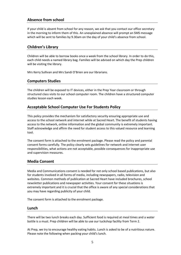# **Absence from school**

If your child is absent from school for any reason, we ask that you contact our office secretary in the morning to inform them of this. An unexplained absence will prompt an SMS message which will be sent to families by 9.30am on the day of your child's absence from school.

# **Children's Library**

Children will be able to borrow books once a week from the school library. In order to do this, each child needs a named library bag. Families will be advised on which day the Prep children will be visiting the library.

Mrs Kerry Sullivan and Mrs Sandi O'Brien are our librarians.

#### **Computers Studies**

The children will be exposed to IT devices, either in the Prep Year classroom or through structured class visits to our school computer room. The children have a structured computer studies lesson each week.

# **Acceptable School Computer Use For Students Policy**

This policy provides the mechanism for satisfactory security ensuring appropriate use and access to the school network and internet while at Sacred Heart. The benefit of students having access to the network, online information and the global community is extremely important. Staff acknowledge and affirm the need for student access to this valued resource and learning tool.

The consent form is attached to the enrolment package. Please read the policy and parental consent forms carefully. The policy clearly sets guidelines for network and internet user responsibilities, what actions are not acceptable, possible consequences for inappropriate use and supervision measures.

# **Media Consent**

Media and Communications consent is needed for not only school based publications, but also for students involved in all forms of media, including newspapers, radio, television and websites. Common methods of publication at Sacred Heart have included brochures, school newsletter publications and newspaper activities. Your consent for these situations is extremely important and it is crucial that the office is aware of any special considerations that you may have regarding publicity of your child.

The consent form is attached to the enrolment package.

#### **Lunch**

There will be two lunch breaks each day. Sufficient food is required at meal times and a water bottle is a must. Prep children will be able to use our tuckshop facility from Term 2.

At Prep, we try to encourage healthy eating habits. Lunch is asked to be of a nutritious nature. Please note the following when packing your child's lunch.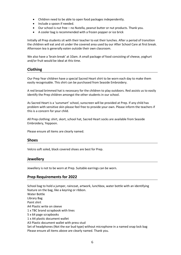- Children need to be able to open food packages independently.
- Include a spoon if needed.
- Our school is nut free no Nutella, peanut butter or nut products. Thank you.
- A cooler bag is recommended with a frozen popper or ice brick

Initially all Prep students sit with their teacher to eat their lunches. After a period of transition the children will eat and sit under the covered area used by our After School Care at first break. Afternoon tea is generally eaten outside their own classroom.

We also have a 'brain break' at 10am. A small package of food consisting of cheese, yoghurt and/or fruit would be ideal at this time.

# **Clothing**

Our Prep Year children have a special Sacred Heart shirt to be worn each day to make them easily recognisable. This shirt can be purchased from Seaside Embroidery.

A red broad brimmed hat is necessary for the children to play outdoors. Red assists us to easily identify the Prep children amongst the other students in our school.

As Sacred Heart is a 'sunsmart' school, sunscreen will be provided at Prep. If any child has problem with sensitive skin please feel free to provide your own. Please inform the teachers if this is a concern for your child.

All Prep clothing: shirt, skort, school hat, Sacred Heart socks are available from Seaside Embroidery, Yeppoon.

Please ensure all items are clearly named.

#### **Shoes**

Velcro soft soled, black covered shoes are best for Prep.

# **Jewellery**

Jewellery is not to be worn at Prep. Suitable earrings can be worn.

#### **Prep Requirements for 2022**

School bag to hold a jumper, raincoat, artwork, lunchbox, water bottle with an identifying feature on the bag, like a keyring or ribbon. Water Bottle Library Bag Paint shirt A4 Plastic write on sleeve 1 x TBC brand scrapbook with lines 5 x 64 page scrapbooks 1 x A4 plastic document wallet A3 Plastic document wallet with press stud Set of headphones (Not the ear bud type) without microphone in a named snap lock bag Please ensure all items above are clearly named. Thank you.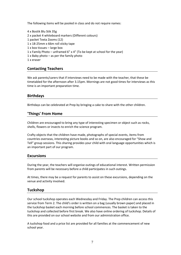The following items will be pooled in class and do not require names:

4 x Bostik Blu Stik 35g 2 x packet 4 whiteboard markers (Different colours) 1 packet Texta Zooms (12) 1 x 18-25mm x 66m roll sticky tape 1 x box tissues – large box 1 x Family Photo – unframed 6" x 4" (To be kept at school for the year) 1 x Baby photo – as per the family photo 1 x eraser

#### **Contacting Teachers**

We ask parents/carers that if interviews need to be made with the teacher, that these be timetabled for the afternoon after 3.15pm. Mornings are not good times for interviews as this time is an important preparation time.

#### **Birthdays**

Birthdays can be celebrated at Prep by bringing a cake to share with the other children.

#### **'Things' From Home**

Children are encouraged to bring any type of interesting specimen or object such as rocks, shells, flowers or insects to enrich the science program.

Crafty objects that the children have made, photographs of special events, items from countries overseas, interesting picture books and so on, are also encouraged for "Show and Tell" group sessions. This sharing provides your child with oral language opportunities which is an important part of our program.

#### **Excursions**

During the year, the teachers will organise outings of educational interest. Written permission from parents will be necessary before a child participates in such outings.

At times, there may be a request for parents to assist on these excursions, depending on the venue and activity involved.

#### **Tuckshop**

Our school tuckshop operates each Wednesday and Friday. The Prep children can access this service from Term 2. The child's order is written on a bag (usually brown paper) and placed in the tuckshop basket each morning before school commences. The basket is taken to the tuckshop and collected before first break. We also have online ordering of tuckshop. Details of this are provided on our school website and from our administration office.

A tuckshop food and a price list are provided for all families at the commencement of new school year.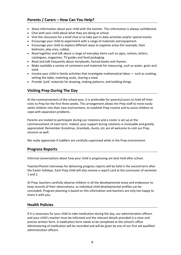- Share information about your child with the teacher. This information is always confidential.
- Chat with your child about what they are doing at school.
- Visit the classroom for a brief chat or to take part in daily activities and/or special events.
- Encourage your child to experiment with a range of materials and equipment.
- Encourage your child to explore different ways to organise areas (for example, their bedroom, play area, cubby).
- Read together and talk about a range of everyday items such as signs, notices, letters, catalogues, magazines, TV guides and food packaging.
- Read and talk frequently about storybooks, factual books and rhymes.
- Make available a variety of containers and materials for measuring, such as water, grain and sand.
- Involve your child in family activities that investigate mathematical ideas such as cooking, setting the table, matching socks, sharing a meal.
- Provide 'junk' materials for drawing, making patterns, and building things.

# **Visiting Prep During The Day**

At the commencement of the school year, it is preferable for parents/carers to hold off their visits to Prep for the first three weeks. This arrangement allows the Prep staff to more easily settle children into their new environment, to establish Prep routine and to assist children to cope with separation problems.

Parents are invited to participate during our rotations and a roster is set up at the commencement of each term. Indeed, your support during rotations is invaluable and greatly appreciated. Remember Grandmas, Grandads, Aunts, etc are all welcome to visit our Prep sessions as well.

We really appreciate if toddlers are carefully supervised while in the Prep environment.

#### **Progress Reports**

Informal conversations about how your child is progressing are best held after school.

Teacher/Parent interviews for delivering progress reports will be held in the second term after the Easter holidays. Each Prep child will also receive a report card at the conclusion of semester 1 and 2.

At Prep, teachers carefully observe children in all the developmental areas and endeavour to keep records of their observations, so individual child developmental profiles can be concluded. Program planning is based on this information and teachers are only too happy to share it with you.

# **Health Policies**

If it is necessary for your child to take medication during the day, our administration officers and your child's teacher must be informed and the relevant details provided in a clear and precise written form. A medication form needs to be completed at the school's office. Administering of medication will be recorded and will be given by one of our first aid qualified administration officers.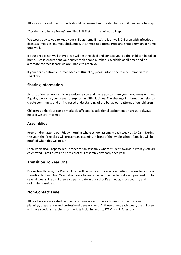All sores, cuts and open wounds should be covered and treated before children come to Prep.

"Accident and Injury Forms" are filled in if first aid is required at Prep.

We would advise you to keep your child at home if he/she is unwell. Children with infectious diseases (measles, mumps, chickenpox, etc.) must not attend Prep and should remain at home until well.

If your child is not well at Prep, we will rest the child and contact you, so the child can be taken home. Please ensure that your current telephone number is available at all times and an alternate contact in case we are unable to reach you.

If your child contracts German Measles (Rubella), please inform the teacher immediately. Thank you.

#### **Sharing Information**

As part of our school family, we welcome you and invite you to share your good news with us. Equally, we invite your prayerful support in difficult times. The sharing of information helps to create community and an increased understanding of the behaviour patterns of our children.

Children's behaviour can be markedly affected by additional excitement or stress. It always helps if we are informed.

#### **Assemblies**

Prep children attend our Friday morning whole school assembly each week at 8.40am. During the year, the Prep class will present an assembly in front of the whole school. Families will be notified when this will occur.

Each week also, Preps to Year 2 meet for an assembly where student awards, birthdays etc are celebrated. Families will be notified of this assembly day early each year.

# **Transition To Year One**

During fourth term, our Prep children will be involved in various activities to allow for a smooth transition to Year One. Orientation visits to Year One commence Term 4 each year and run for several weeks. Prep children also participate in our school's athletics, cross country and swimming carnivals.

#### **Non-Contact Time**

All teachers are allocated two hours of non-contact time each week for the purpose of planning, preparation and professional development. At these times, each week, the children will have specialist teachers for the Arts including music, STEM and P.E. lessons.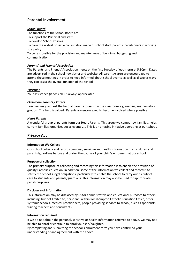# **Parental Involvement**

#### *School Board*

The functions of the School Board are:

To support the Principal and staff.

To develop School Policies.

To have the widest possible consultation made of school staff, parents, parishioners in working to a policy.

To be responsible for the provision and maintenance of buildings, budgeting and communication.

#### *Parents' and Friends' Association*

The Parents' and Friends' Association meets on the first Tuesday of each term at 5.30pm. Dates are advertised in the school newsletter and website. All parents/carers are encouraged to attend these meetings in order to keep informed about school events, as well as discover ways they can assist the overall function of the school.

#### *Tuckshop*

Your assistance (if possible) is always appreciated.

#### *Classroom Parents / Carers*

Teachers may request the help of parents to assist in the classroom e.g. reading, mathematics groups. This help is valued. Parents are encouraged to become involved where possible.

#### *Heart Parents*

A wonderful group of parents form our Heart Parents. This group welcomes new families, helps current families, organises social events ….. This is an amazing initiative operating at our school.

#### **Privacy Act**

#### **Information We Collect**

Our school collects and records personal, sensitive and health information from children and parents/guardians before and during the course of your child's enrolment at our school.

#### **Purpose of collection**

The primary purpose of collecting and recording this information is to enable the provision of quality Catholic education. In addition, some of the information we collect and record is to satisfy the school's legal obligations, particularly to enable the school to carry out its duty of care to students and parents/guardians. This information may also be used for appropriate parish purposes.

#### **Disclosure of information**

This information may be disclosed by us for administrative and educational purposes to others including, but not limited to, personnel within Rockhampton Catholic Education Office, other systemic schools, medical practitioners, people providing services to school, such as specialists visiting teachers and consultants.

#### **Information required**

If we do not obtain the personal, sensitive or health information referred to above, we may not be able to enrol or continue to enrol your son/daughter.

By completing and submitting the school's enrolment form you have confirmed your understanding of and agreement with the above.